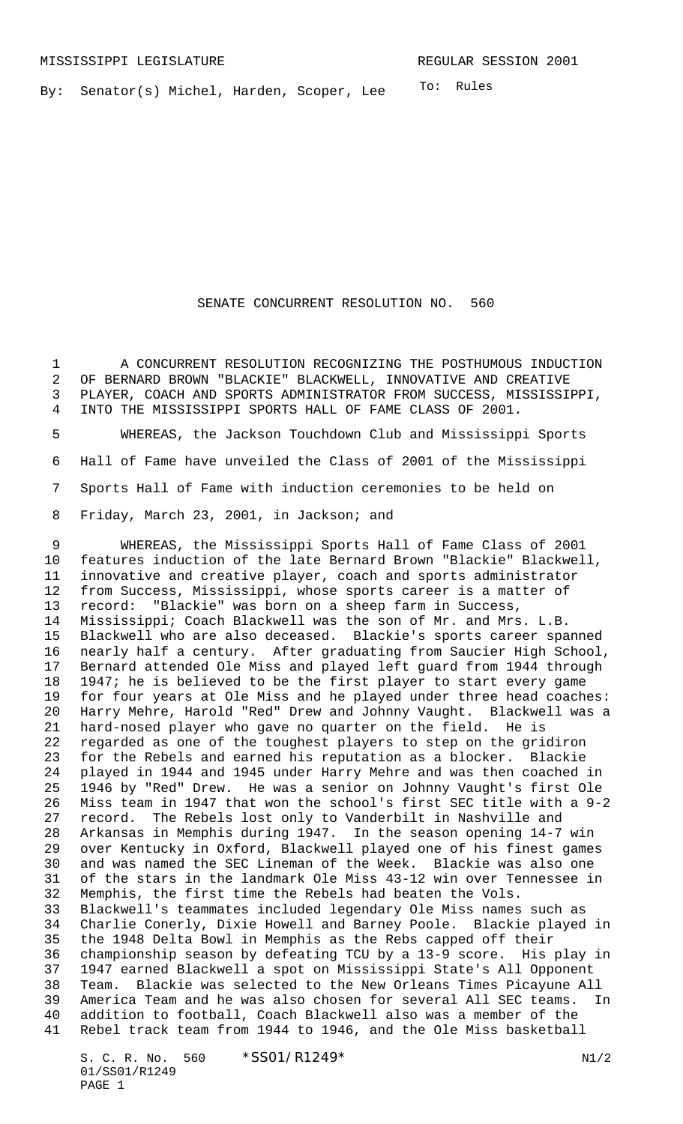To: Rules By: Senator(s) Michel, Harden, Scoper, Lee

## SENATE CONCURRENT RESOLUTION NO. 560

 A CONCURRENT RESOLUTION RECOGNIZING THE POSTHUMOUS INDUCTION OF BERNARD BROWN "BLACKIE" BLACKWELL, INNOVATIVE AND CREATIVE PLAYER, COACH AND SPORTS ADMINISTRATOR FROM SUCCESS, MISSISSIPPI, INTO THE MISSISSIPPI SPORTS HALL OF FAME CLASS OF 2001.

 WHEREAS, the Jackson Touchdown Club and Mississippi Sports Hall of Fame have unveiled the Class of 2001 of the Mississippi Sports Hall of Fame with induction ceremonies to be held on Friday, March 23, 2001, in Jackson; and

 WHEREAS, the Mississippi Sports Hall of Fame Class of 2001 features induction of the late Bernard Brown "Blackie" Blackwell, innovative and creative player, coach and sports administrator from Success, Mississippi, whose sports career is a matter of record: "Blackie" was born on a sheep farm in Success, Mississippi; Coach Blackwell was the son of Mr. and Mrs. L.B. Blackwell who are also deceased. Blackie's sports career spanned nearly half a century. After graduating from Saucier High School, Bernard attended Ole Miss and played left guard from 1944 through 1947; he is believed to be the first player to start every game for four years at Ole Miss and he played under three head coaches: Harry Mehre, Harold "Red" Drew and Johnny Vaught. Blackwell was a hard-nosed player who gave no quarter on the field. He is regarded as one of the toughest players to step on the gridiron for the Rebels and earned his reputation as a blocker. Blackie played in 1944 and 1945 under Harry Mehre and was then coached in 1946 by "Red" Drew. He was a senior on Johnny Vaught's first Ole Miss team in 1947 that won the school's first SEC title with a 9-2 record. The Rebels lost only to Vanderbilt in Nashville and Arkansas in Memphis during 1947. In the season opening 14-7 win over Kentucky in Oxford, Blackwell played one of his finest games and was named the SEC Lineman of the Week. Blackie was also one of the stars in the landmark Ole Miss 43-12 win over Tennessee in Memphis, the first time the Rebels had beaten the Vols. Blackwell's teammates included legendary Ole Miss names such as Charlie Conerly, Dixie Howell and Barney Poole. Blackie played in the 1948 Delta Bowl in Memphis as the Rebs capped off their championship season by defeating TCU by a 13-9 score. His play in 1947 earned Blackwell a spot on Mississippi State's All Opponent Team. Blackie was selected to the New Orleans Times Picayune All America Team and he was also chosen for several All SEC teams. In addition to football, Coach Blackwell also was a member of the Rebel track team from 1944 to 1946, and the Ole Miss basketball

S. C. R. No.  $560 \times$ SS01/R1249\* N1/2 01/SS01/R1249 PAGE 1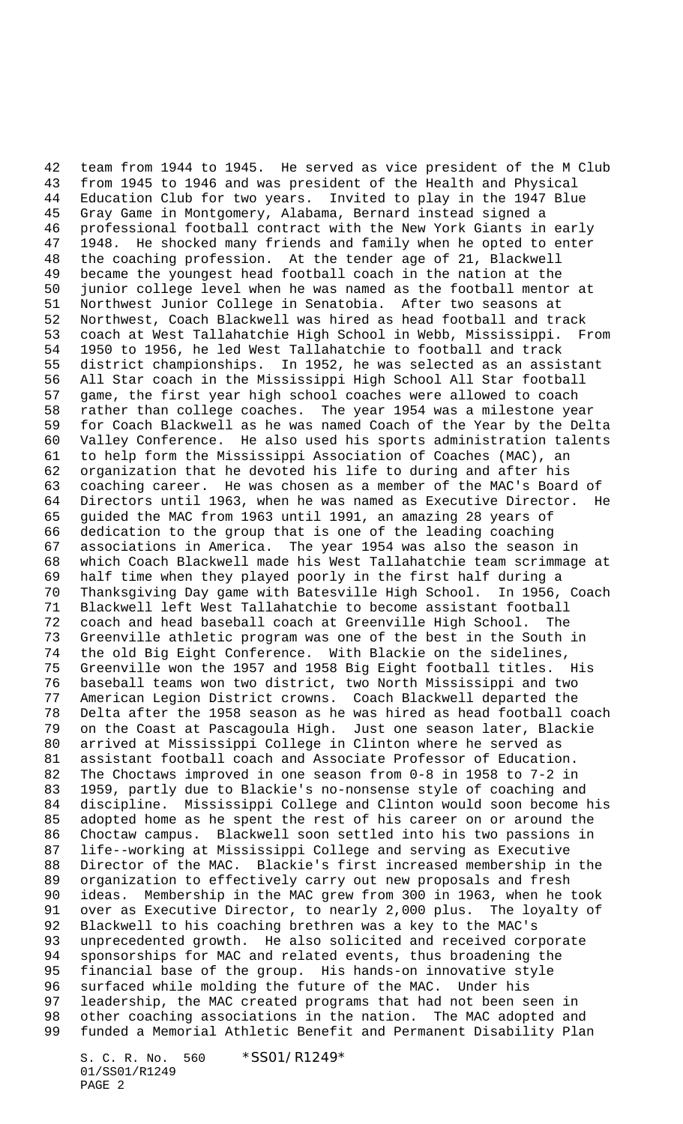team from 1944 to 1945. He served as vice president of the M Club from 1945 to 1946 and was president of the Health and Physical Education Club for two years. Invited to play in the 1947 Blue Gray Game in Montgomery, Alabama, Bernard instead signed a professional football contract with the New York Giants in early 1948. He shocked many friends and family when he opted to enter the coaching profession. At the tender age of 21, Blackwell became the youngest head football coach in the nation at the junior college level when he was named as the football mentor at Northwest Junior College in Senatobia. After two seasons at Northwest, Coach Blackwell was hired as head football and track coach at West Tallahatchie High School in Webb, Mississippi. From 1950 to 1956, he led West Tallahatchie to football and track district championships. In 1952, he was selected as an assistant All Star coach in the Mississippi High School All Star football game, the first year high school coaches were allowed to coach rather than college coaches. The year 1954 was a milestone year for Coach Blackwell as he was named Coach of the Year by the Delta Valley Conference. He also used his sports administration talents to help form the Mississippi Association of Coaches (MAC), an organization that he devoted his life to during and after his coaching career. He was chosen as a member of the MAC's Board of Directors until 1963, when he was named as Executive Director. He guided the MAC from 1963 until 1991, an amazing 28 years of dedication to the group that is one of the leading coaching associations in America. The year 1954 was also the season in which Coach Blackwell made his West Tallahatchie team scrimmage at 69 half time when they played poorly in the first half during a<br>70 Thanksgiving Day game with Batesville High School. In 1956, Coach 70 Thanksgiving Day game with Batesville High School. Blackwell left West Tallahatchie to become assistant football coach and head baseball coach at Greenville High School. The Greenville athletic program was one of the best in the South in the old Big Eight Conference. With Blackie on the sidelines, 75 Greenville won the 1957 and 1958 Big Eight football titles. His<br>76 baseball teams won two district, two North Mississippi and two baseball teams won two district, two North Mississippi and two American Legion District crowns. Coach Blackwell departed the Delta after the 1958 season as he was hired as head football coach on the Coast at Pascagoula High. Just one season later, Blackie arrived at Mississippi College in Clinton where he served as assistant football coach and Associate Professor of Education. The Choctaws improved in one season from 0-8 in 1958 to 7-2 in 1959, partly due to Blackie's no-nonsense style of coaching and discipline. Mississippi College and Clinton would soon become his adopted home as he spent the rest of his career on or around the Choctaw campus. Blackwell soon settled into his two passions in life--working at Mississippi College and serving as Executive Director of the MAC. Blackie's first increased membership in the organization to effectively carry out new proposals and fresh ideas. Membership in the MAC grew from 300 in 1963, when he took over as Executive Director, to nearly 2,000 plus. The loyalty of Blackwell to his coaching brethren was a key to the MAC's unprecedented growth. He also solicited and received corporate sponsorships for MAC and related events, thus broadening the financial base of the group. His hands-on innovative style surfaced while molding the future of the MAC. Under his leadership, the MAC created programs that had not been seen in 98 other coaching associations in the nation. The MAC adopted and<br>99 funded a Memorial Athletic Benefit and Permanent Disability Pla funded a Memorial Athletic Benefit and Permanent Disability Plan

S. C. R. No. 560 \*SS01/R1249\* 01/SS01/R1249 PAGE 2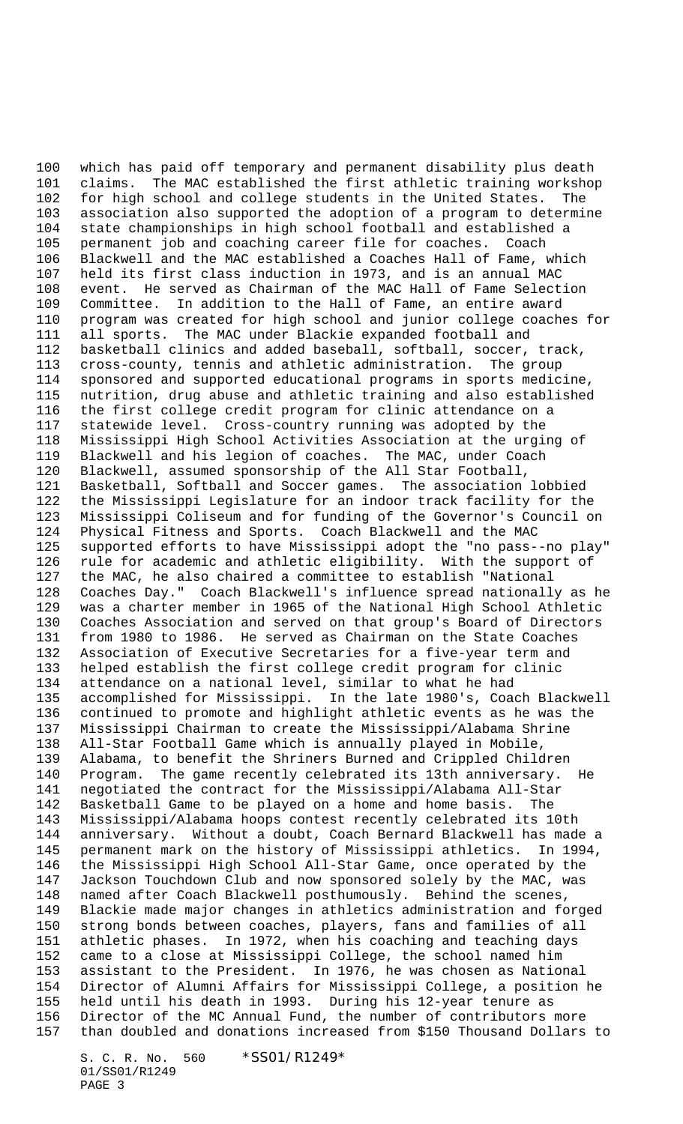which has paid off temporary and permanent disability plus death claims. The MAC established the first athletic training workshop for high school and college students in the United States. The association also supported the adoption of a program to determine state championships in high school football and established a permanent job and coaching career file for coaches. Coach Blackwell and the MAC established a Coaches Hall of Fame, which held its first class induction in 1973, and is an annual MAC event. He served as Chairman of the MAC Hall of Fame Selection Committee. In addition to the Hall of Fame, an entire award program was created for high school and junior college coaches for all sports. The MAC under Blackie expanded football and basketball clinics and added baseball, softball, soccer, track, cross-county, tennis and athletic administration. The group sponsored and supported educational programs in sports medicine, nutrition, drug abuse and athletic training and also established the first college credit program for clinic attendance on a statewide level. Cross-country running was adopted by the Mississippi High School Activities Association at the urging of Blackwell and his legion of coaches. The MAC, under Coach Blackwell, assumed sponsorship of the All Star Football, Basketball, Softball and Soccer games. The association lobbied the Mississippi Legislature for an indoor track facility for the Mississippi Coliseum and for funding of the Governor's Council on Physical Fitness and Sports. Coach Blackwell and the MAC supported efforts to have Mississippi adopt the "no pass--no play" rule for academic and athletic eligibility. With the support of the MAC, he also chaired a committee to establish "National Coaches Day." Coach Blackwell's influence spread nationally as he was a charter member in 1965 of the National High School Athletic Coaches Association and served on that group's Board of Directors from 1980 to 1986. He served as Chairman on the State Coaches Association of Executive Secretaries for a five-year term and helped establish the first college credit program for clinic attendance on a national level, similar to what he had accomplished for Mississippi. In the late 1980's, Coach Blackwell continued to promote and highlight athletic events as he was the Mississippi Chairman to create the Mississippi/Alabama Shrine All-Star Football Game which is annually played in Mobile, Alabama, to benefit the Shriners Burned and Crippled Children Program. The game recently celebrated its 13th anniversary. He negotiated the contract for the Mississippi/Alabama All-Star Basketball Game to be played on a home and home basis. The Mississippi/Alabama hoops contest recently celebrated its 10th anniversary. Without a doubt, Coach Bernard Blackwell has made a permanent mark on the history of Mississippi athletics. In 1994, the Mississippi High School All-Star Game, once operated by the Jackson Touchdown Club and now sponsored solely by the MAC, was named after Coach Blackwell posthumously. Behind the scenes, Blackie made major changes in athletics administration and forged strong bonds between coaches, players, fans and families of all athletic phases. In 1972, when his coaching and teaching days came to a close at Mississippi College, the school named him assistant to the President. In 1976, he was chosen as National Director of Alumni Affairs for Mississippi College, a position he held until his death in 1993. During his 12-year tenure as Director of the MC Annual Fund, the number of contributors more than doubled and donations increased from \$150 Thousand Dollars to

S. C. R. No. 560 \*SS01/R1249\* 01/SS01/R1249 PAGE 3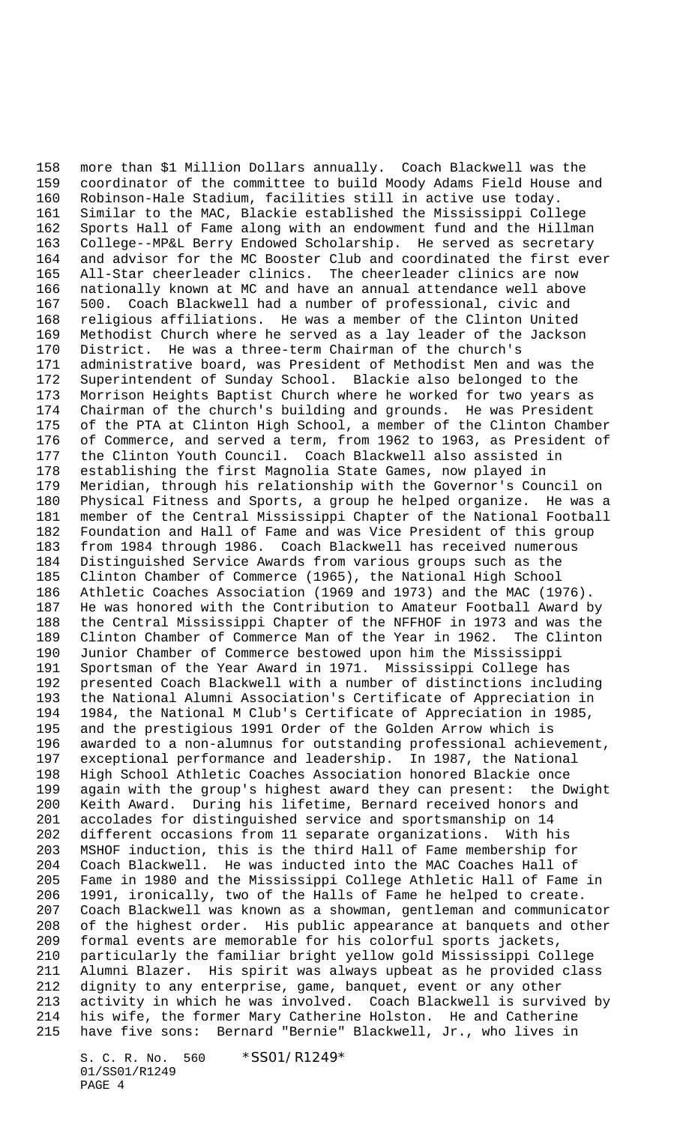more than \$1 Million Dollars annually. Coach Blackwell was the coordinator of the committee to build Moody Adams Field House and Robinson-Hale Stadium, facilities still in active use today. Similar to the MAC, Blackie established the Mississippi College Sports Hall of Fame along with an endowment fund and the Hillman College--MP&L Berry Endowed Scholarship. He served as secretary and advisor for the MC Booster Club and coordinated the first ever All-Star cheerleader clinics. The cheerleader clinics are now nationally known at MC and have an annual attendance well above 500. Coach Blackwell had a number of professional, civic and religious affiliations. He was a member of the Clinton United Methodist Church where he served as a lay leader of the Jackson District. He was a three-term Chairman of the church's administrative board, was President of Methodist Men and was the Superintendent of Sunday School. Blackie also belonged to the Morrison Heights Baptist Church where he worked for two years as Chairman of the church's building and grounds. He was President of the PTA at Clinton High School, a member of the Clinton Chamber of Commerce, and served a term, from 1962 to 1963, as President of the Clinton Youth Council. Coach Blackwell also assisted in establishing the first Magnolia State Games, now played in Meridian, through his relationship with the Governor's Council on Physical Fitness and Sports, a group he helped organize. He was a member of the Central Mississippi Chapter of the National Football Foundation and Hall of Fame and was Vice President of this group from 1984 through 1986. Coach Blackwell has received numerous Distinguished Service Awards from various groups such as the Clinton Chamber of Commerce (1965), the National High School Athletic Coaches Association (1969 and 1973) and the MAC (1976). He was honored with the Contribution to Amateur Football Award by the Central Mississippi Chapter of the NFFHOF in 1973 and was the Clinton Chamber of Commerce Man of the Year in 1962. The Clinton Junior Chamber of Commerce bestowed upon him the Mississippi Sportsman of the Year Award in 1971. Mississippi College has presented Coach Blackwell with a number of distinctions including the National Alumni Association's Certificate of Appreciation in 1984, the National M Club's Certificate of Appreciation in 1985, and the prestigious 1991 Order of the Golden Arrow which is awarded to a non-alumnus for outstanding professional achievement, exceptional performance and leadership. In 1987, the National High School Athletic Coaches Association honored Blackie once again with the group's highest award they can present: the Dwight Keith Award. During his lifetime, Bernard received honors and accolades for distinguished service and sportsmanship on 14 different occasions from 11 separate organizations. With his MSHOF induction, this is the third Hall of Fame membership for Coach Blackwell. He was inducted into the MAC Coaches Hall of Fame in 1980 and the Mississippi College Athletic Hall of Fame in 1991, ironically, two of the Halls of Fame he helped to create. Coach Blackwell was known as a showman, gentleman and communicator of the highest order. His public appearance at banquets and other formal events are memorable for his colorful sports jackets, particularly the familiar bright yellow gold Mississippi College Alumni Blazer. His spirit was always upbeat as he provided class dignity to any enterprise, game, banquet, event or any other activity in which he was involved. Coach Blackwell is survived by his wife, the former Mary Catherine Holston. He and Catherine have five sons: Bernard "Bernie" Blackwell, Jr., who lives in

S. C. R. No. 560 \*SS01/R1249\* 01/SS01/R1249 PAGE 4